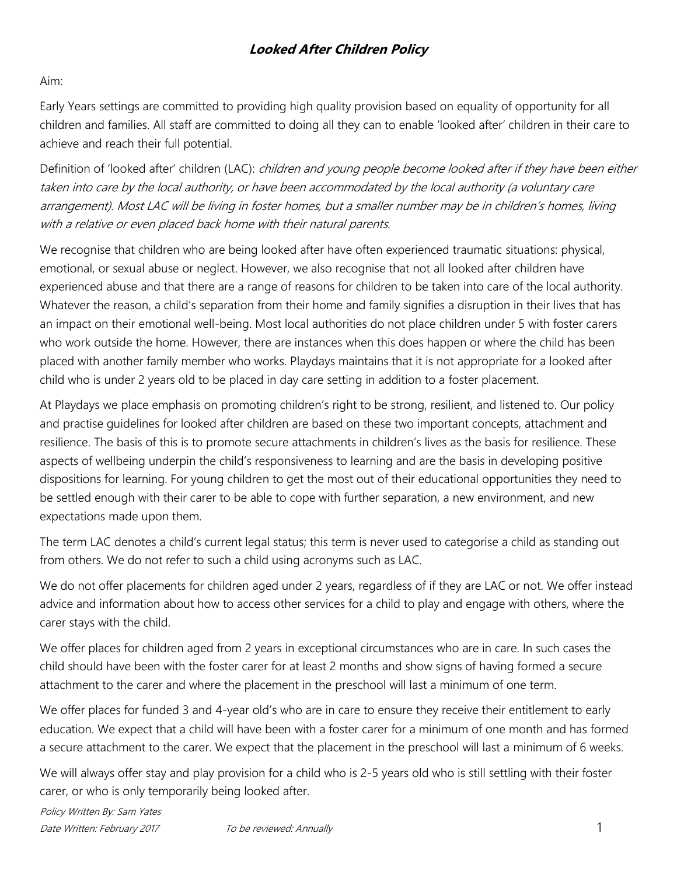### **Looked After Children Policy**

#### Aim:

Early Years settings are committed to providing high quality provision based on equality of opportunity for all children and families. All staff are committed to doing all they can to enable 'looked after' children in their care to achieve and reach their full potential.

Definition of 'looked after' children (LAC): *children and young people become looked after if they have been either* taken into care by the local authority, or have been accommodated by the local authority (a voluntary care arrangement). Most LAC will be living in foster homes, but a smaller number may be in children's homes, living with a relative or even placed back home with their natural parents.

We recognise that children who are being looked after have often experienced traumatic situations: physical, emotional, or sexual abuse or neglect. However, we also recognise that not all looked after children have experienced abuse and that there are a range of reasons for children to be taken into care of the local authority. Whatever the reason, a child's separation from their home and family signifies a disruption in their lives that has an impact on their emotional well-being. Most local authorities do not place children under 5 with foster carers who work outside the home. However, there are instances when this does happen or where the child has been placed with another family member who works. Playdays maintains that it is not appropriate for a looked after child who is under 2 years old to be placed in day care setting in addition to a foster placement.

At Playdays we place emphasis on promoting children's right to be strong, resilient, and listened to. Our policy and practise guidelines for looked after children are based on these two important concepts, attachment and resilience. The basis of this is to promote secure attachments in children's lives as the basis for resilience. These aspects of wellbeing underpin the child's responsiveness to learning and are the basis in developing positive dispositions for learning. For young children to get the most out of their educational opportunities they need to be settled enough with their carer to be able to cope with further separation, a new environment, and new expectations made upon them.

The term LAC denotes a child's current legal status; this term is never used to categorise a child as standing out from others. We do not refer to such a child using acronyms such as LAC.

We do not offer placements for children aged under 2 years, regardless of if they are LAC or not. We offer instead advice and information about how to access other services for a child to play and engage with others, where the carer stays with the child.

We offer places for children aged from 2 years in exceptional circumstances who are in care. In such cases the child should have been with the foster carer for at least 2 months and show signs of having formed a secure attachment to the carer and where the placement in the preschool will last a minimum of one term.

We offer places for funded 3 and 4-year old's who are in care to ensure they receive their entitlement to early education. We expect that a child will have been with a foster carer for a minimum of one month and has formed a secure attachment to the carer. We expect that the placement in the preschool will last a minimum of 6 weeks.

We will always offer stay and play provision for a child who is 2-5 years old who is still settling with their foster carer, or who is only temporarily being looked after.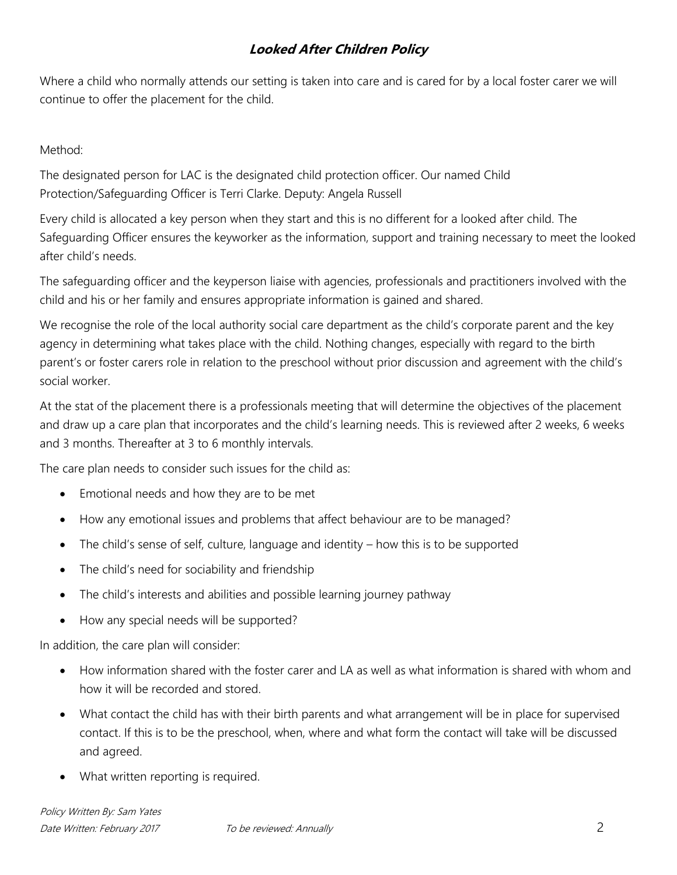# **Looked After Children Policy**

Where a child who normally attends our setting is taken into care and is cared for by a local foster carer we will continue to offer the placement for the child.

Method:

The designated person for LAC is the designated child protection officer. Our named Child Protection/Safeguarding Officer is Terri Clarke. Deputy: Angela Russell

Every child is allocated a key person when they start and this is no different for a looked after child. The Safeguarding Officer ensures the keyworker as the information, support and training necessary to meet the looked after child's needs.

The safeguarding officer and the keyperson liaise with agencies, professionals and practitioners involved with the child and his or her family and ensures appropriate information is gained and shared.

We recognise the role of the local authority social care department as the child's corporate parent and the key agency in determining what takes place with the child. Nothing changes, especially with regard to the birth parent's or foster carers role in relation to the preschool without prior discussion and agreement with the child's social worker.

At the stat of the placement there is a professionals meeting that will determine the objectives of the placement and draw up a care plan that incorporates and the child's learning needs. This is reviewed after 2 weeks, 6 weeks and 3 months. Thereafter at 3 to 6 monthly intervals.

The care plan needs to consider such issues for the child as:

- Emotional needs and how they are to be met
- How any emotional issues and problems that affect behaviour are to be managed?
- The child's sense of self, culture, language and identity how this is to be supported
- The child's need for sociability and friendship
- The child's interests and abilities and possible learning journey pathway
- How any special needs will be supported?

In addition, the care plan will consider:

- How information shared with the foster carer and LA as well as what information is shared with whom and how it will be recorded and stored.
- What contact the child has with their birth parents and what arrangement will be in place for supervised contact. If this is to be the preschool, when, where and what form the contact will take will be discussed and agreed.
- What written reporting is required.